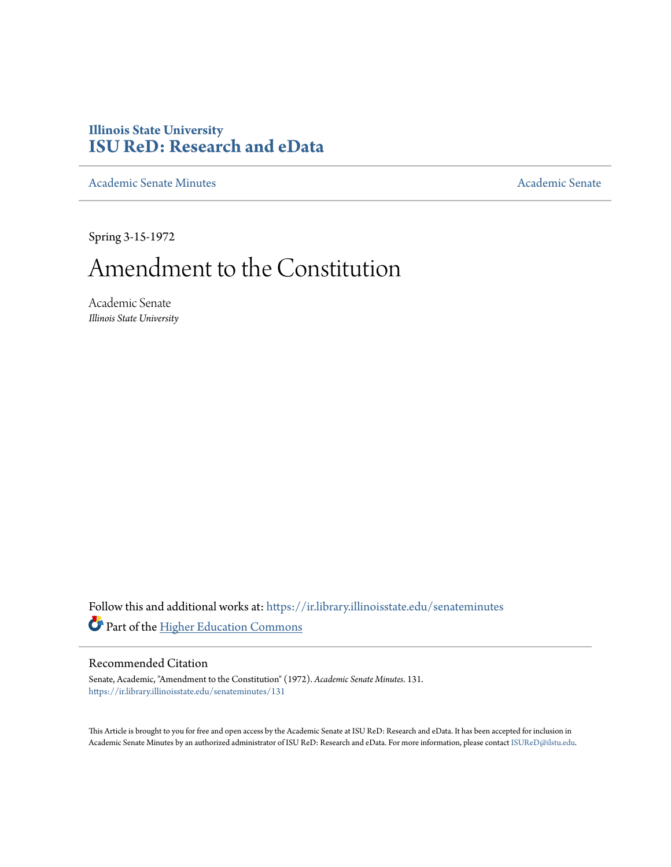## **Illinois State University [ISU ReD: Research and eData](https://ir.library.illinoisstate.edu?utm_source=ir.library.illinoisstate.edu%2Fsenateminutes%2F131&utm_medium=PDF&utm_campaign=PDFCoverPages)**

[Academic Senate Minutes](https://ir.library.illinoisstate.edu/senateminutes?utm_source=ir.library.illinoisstate.edu%2Fsenateminutes%2F131&utm_medium=PDF&utm_campaign=PDFCoverPages) [Academic Senate](https://ir.library.illinoisstate.edu/senate?utm_source=ir.library.illinoisstate.edu%2Fsenateminutes%2F131&utm_medium=PDF&utm_campaign=PDFCoverPages) Academic Senate

Spring 3-15-1972

## Amendment to the Constitution

Academic Senate *Illinois State University*

Follow this and additional works at: [https://ir.library.illinoisstate.edu/senateminutes](https://ir.library.illinoisstate.edu/senateminutes?utm_source=ir.library.illinoisstate.edu%2Fsenateminutes%2F131&utm_medium=PDF&utm_campaign=PDFCoverPages) Part of the [Higher Education Commons](http://network.bepress.com/hgg/discipline/1245?utm_source=ir.library.illinoisstate.edu%2Fsenateminutes%2F131&utm_medium=PDF&utm_campaign=PDFCoverPages)

## Recommended Citation

Senate, Academic, "Amendment to the Constitution" (1972). *Academic Senate Minutes*. 131. [https://ir.library.illinoisstate.edu/senateminutes/131](https://ir.library.illinoisstate.edu/senateminutes/131?utm_source=ir.library.illinoisstate.edu%2Fsenateminutes%2F131&utm_medium=PDF&utm_campaign=PDFCoverPages)

This Article is brought to you for free and open access by the Academic Senate at ISU ReD: Research and eData. It has been accepted for inclusion in Academic Senate Minutes by an authorized administrator of ISU ReD: Research and eData. For more information, please contact [ISUReD@ilstu.edu.](mailto:ISUReD@ilstu.edu)